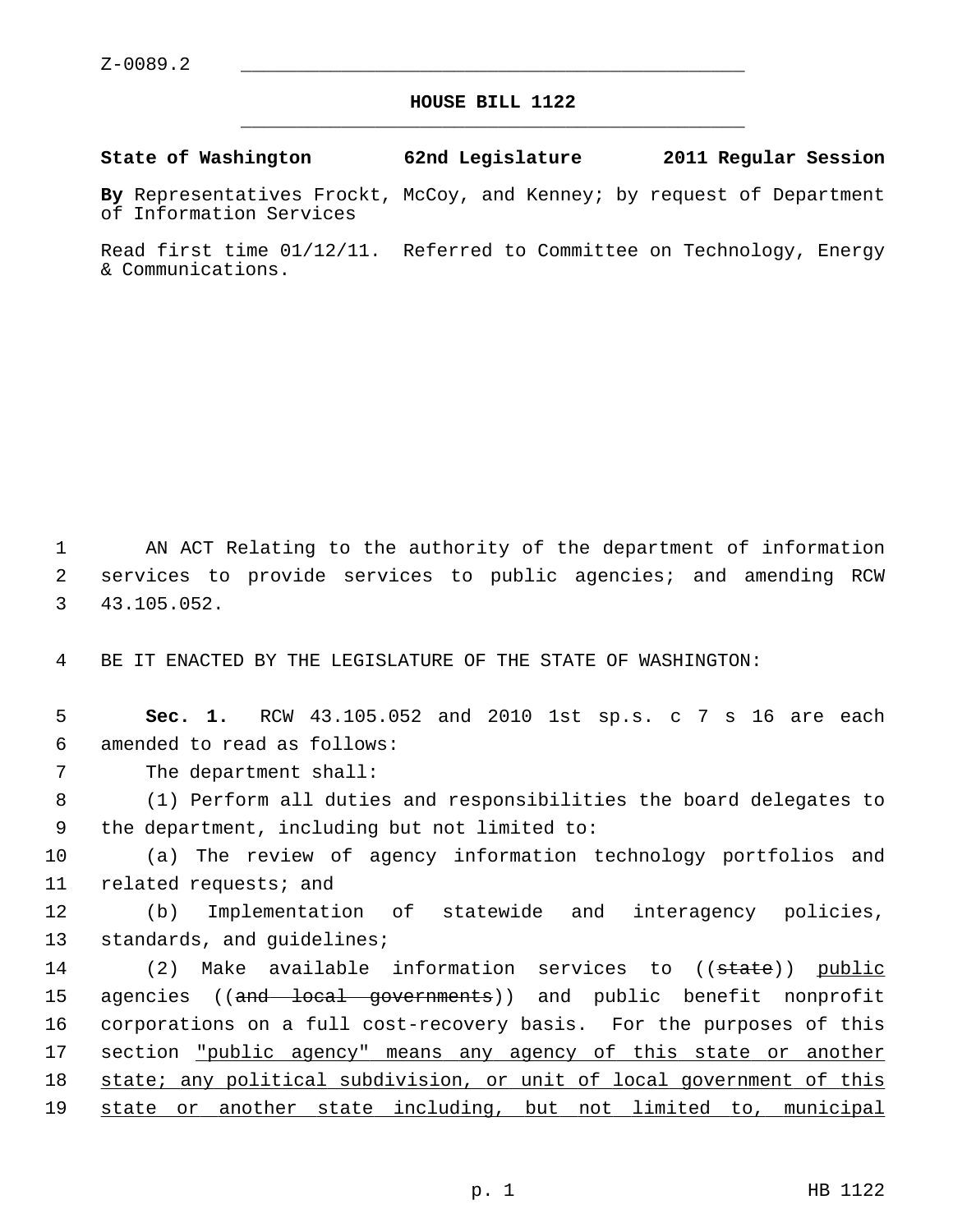## **HOUSE BILL 1122** \_\_\_\_\_\_\_\_\_\_\_\_\_\_\_\_\_\_\_\_\_\_\_\_\_\_\_\_\_\_\_\_\_\_\_\_\_\_\_\_\_\_\_\_\_

## **State of Washington 62nd Legislature 2011 Regular Session**

**By** Representatives Frockt, McCoy, and Kenney; by request of Department of Information Services

Read first time 01/12/11. Referred to Committee on Technology, Energy & Communications.

 1 AN ACT Relating to the authority of the department of information 2 services to provide services to public agencies; and amending RCW 3 43.105.052.

4 BE IT ENACTED BY THE LEGISLATURE OF THE STATE OF WASHINGTON:

 5 **Sec. 1.** RCW 43.105.052 and 2010 1st sp.s. c 7 s 16 are each 6 amended to read as follows:

7 The department shall:

 8 (1) Perform all duties and responsibilities the board delegates to 9 the department, including but not limited to:

10 (a) The review of agency information technology portfolios and 11 related requests; and

12 (b) Implementation of statewide and interagency policies, 13 standards, and guidelines;

14 (2) Make available information services to ((state)) public 15 agencies ((and local governments)) and public benefit nonprofit 16 corporations on a full cost-recovery basis. For the purposes of this 17 section "public agency" means any agency of this state or another 18 state; any political subdivision, or unit of local government of this 19 state or another state including, but not limited to, municipal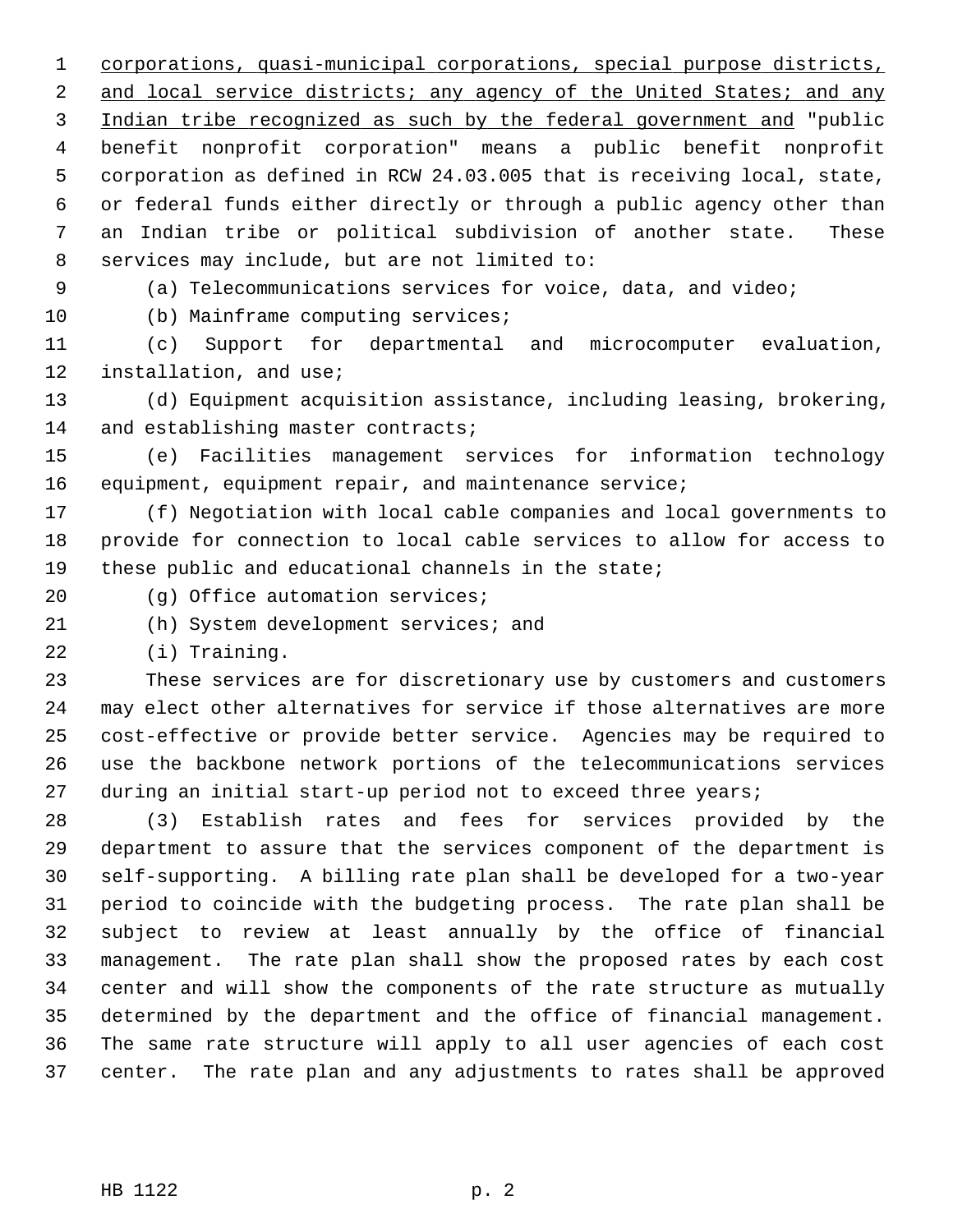1 corporations, quasi-municipal corporations, special purpose districts, 2 and local service districts; any agency of the United States; and any 3 Indian tribe recognized as such by the federal government and "public 4 benefit nonprofit corporation" means a public benefit nonprofit 5 corporation as defined in RCW 24.03.005 that is receiving local, state, 6 or federal funds either directly or through a public agency other than 7 an Indian tribe or political subdivision of another state. These 8 services may include, but are not limited to:

9 (a) Telecommunications services for voice, data, and video;

10 (b) Mainframe computing services;

11 (c) Support for departmental and microcomputer evaluation, 12 installation, and use;

13 (d) Equipment acquisition assistance, including leasing, brokering, 14 and establishing master contracts;

15 (e) Facilities management services for information technology 16 equipment, equipment repair, and maintenance service;

17 (f) Negotiation with local cable companies and local governments to 18 provide for connection to local cable services to allow for access to 19 these public and educational channels in the state;

20 (g) Office automation services;

21 (h) System development services; and

22 (i) Training.

23 These services are for discretionary use by customers and customers 24 may elect other alternatives for service if those alternatives are more 25 cost-effective or provide better service. Agencies may be required to 26 use the backbone network portions of the telecommunications services 27 during an initial start-up period not to exceed three years;

28 (3) Establish rates and fees for services provided by the 29 department to assure that the services component of the department is 30 self-supporting. A billing rate plan shall be developed for a two-year 31 period to coincide with the budgeting process. The rate plan shall be 32 subject to review at least annually by the office of financial 33 management. The rate plan shall show the proposed rates by each cost 34 center and will show the components of the rate structure as mutually 35 determined by the department and the office of financial management. 36 The same rate structure will apply to all user agencies of each cost 37 center. The rate plan and any adjustments to rates shall be approved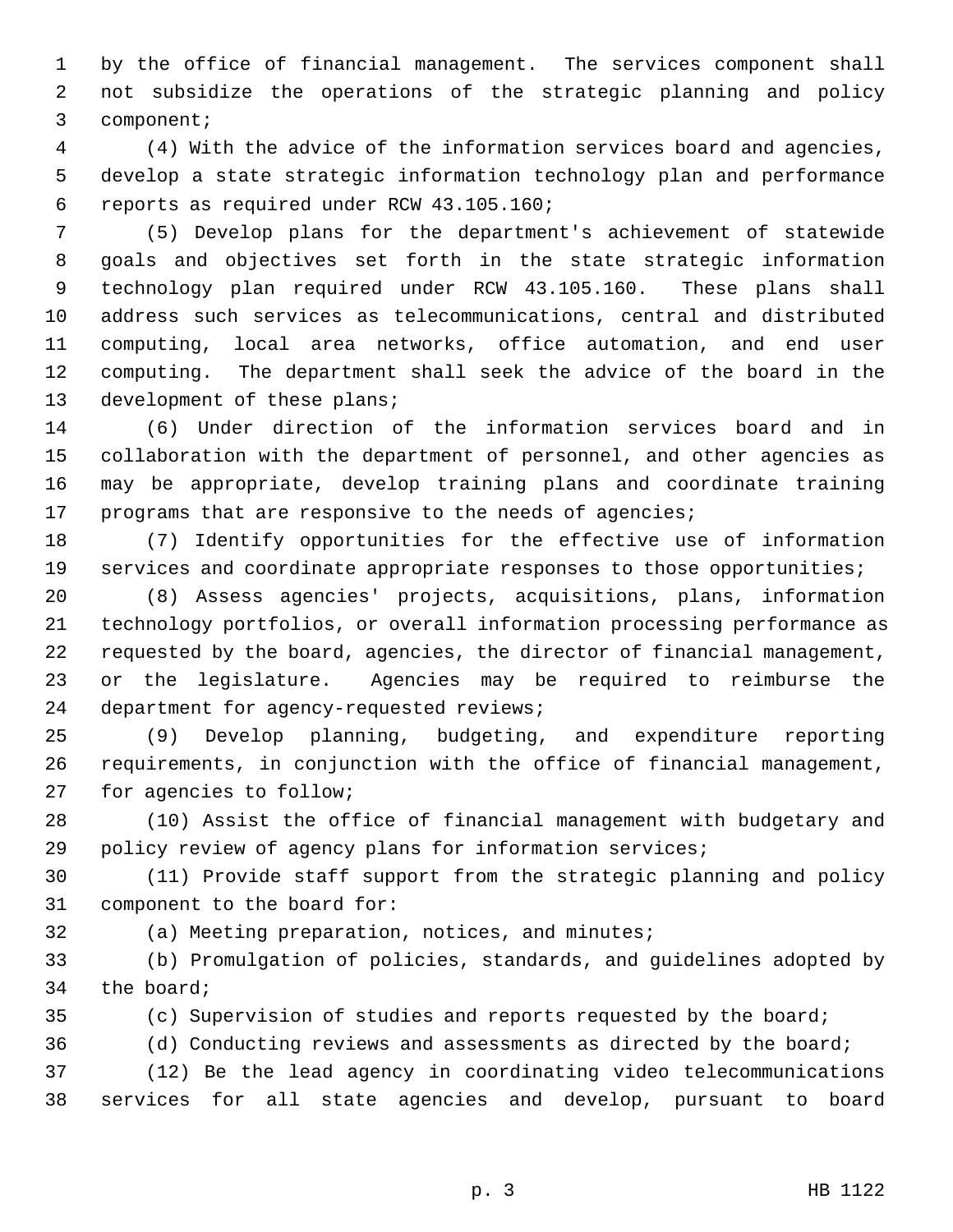1 by the office of financial management. The services component shall 2 not subsidize the operations of the strategic planning and policy 3 component;

 4 (4) With the advice of the information services board and agencies, 5 develop a state strategic information technology plan and performance 6 reports as required under RCW 43.105.160;

 7 (5) Develop plans for the department's achievement of statewide 8 goals and objectives set forth in the state strategic information 9 technology plan required under RCW 43.105.160. These plans shall 10 address such services as telecommunications, central and distributed 11 computing, local area networks, office automation, and end user 12 computing. The department shall seek the advice of the board in the 13 development of these plans;

14 (6) Under direction of the information services board and in 15 collaboration with the department of personnel, and other agencies as 16 may be appropriate, develop training plans and coordinate training 17 programs that are responsive to the needs of agencies;

18 (7) Identify opportunities for the effective use of information 19 services and coordinate appropriate responses to those opportunities;

20 (8) Assess agencies' projects, acquisitions, plans, information 21 technology portfolios, or overall information processing performance as 22 requested by the board, agencies, the director of financial management, 23 or the legislature. Agencies may be required to reimburse the 24 department for agency-requested reviews;

25 (9) Develop planning, budgeting, and expenditure reporting 26 requirements, in conjunction with the office of financial management, 27 for agencies to follow;

28 (10) Assist the office of financial management with budgetary and 29 policy review of agency plans for information services;

30 (11) Provide staff support from the strategic planning and policy 31 component to the board for:

32 (a) Meeting preparation, notices, and minutes;

33 (b) Promulgation of policies, standards, and guidelines adopted by 34 the board;

35 (c) Supervision of studies and reports requested by the board;

36 (d) Conducting reviews and assessments as directed by the board;

37 (12) Be the lead agency in coordinating video telecommunications 38 services for all state agencies and develop, pursuant to board